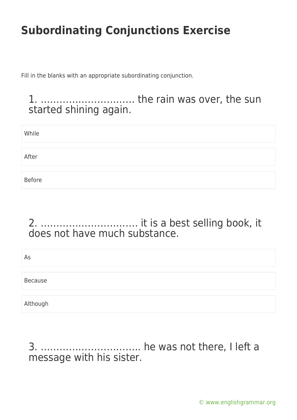Fill in the blanks with an appropriate subordinating conjunction.

1. ………………………… the rain was over, the sun started shining again.

| While         |  |  |
|---------------|--|--|
|               |  |  |
| After         |  |  |
|               |  |  |
| <b>Before</b> |  |  |

### 2. …………………………. it is a best selling book, it does not have much substance.

| As       |  |  |  |
|----------|--|--|--|
| Because  |  |  |  |
| Although |  |  |  |

3. ………………………….. he was not there, I left a message with his sister.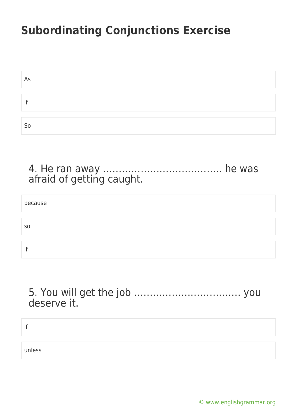| As |  |
|----|--|
|    |  |
|    |  |
|    |  |
| So |  |

#### 4. He ran away ……………………………….. he was afraid of getting caught.

| because        |  |
|----------------|--|
|                |  |
| S <sub>0</sub> |  |
|                |  |
| if             |  |

#### 5. You will get the job ……………………………. you deserve it.

| Ħ      |  |  |
|--------|--|--|
|        |  |  |
| unless |  |  |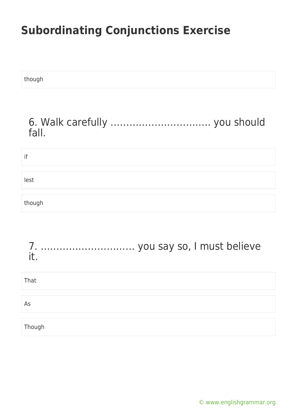though

#### 6. Walk carefully ………………………….. you should fall.

| if     |  |  |  |
|--------|--|--|--|
|        |  |  |  |
| lest   |  |  |  |
|        |  |  |  |
| though |  |  |  |

| it.    |  |
|--------|--|
| That   |  |
| As     |  |
| Though |  |

[© www.englishgrammar.org](https://www.englishgrammar.org/)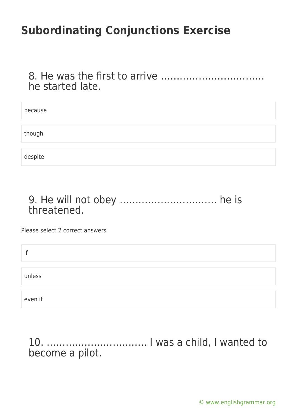8. He was the first to arrive …………………………… he started late.

| because |  |
|---------|--|
|         |  |
|         |  |
|         |  |
| though  |  |
|         |  |
|         |  |
|         |  |
|         |  |
|         |  |
| despite |  |
|         |  |

#### 9. He will not obey …………………………. he is threatened.

Please select 2 correct answers

| if      |  |  |  |
|---------|--|--|--|
|         |  |  |  |
| unless  |  |  |  |
|         |  |  |  |
| even if |  |  |  |

10. ………………………….. I was a child, I wanted to become a pilot.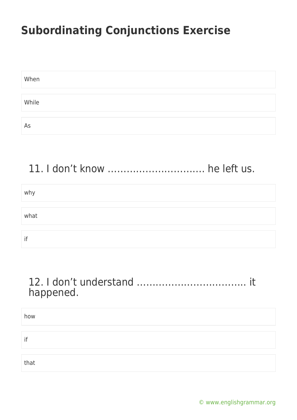| When  |  |
|-------|--|
|       |  |
| While |  |
|       |  |
| As    |  |

### 11. I don't know …………………………. he left us.

| why  |  |
|------|--|
|      |  |
| what |  |
|      |  |
| if   |  |

#### 12. I don't understand …………………………….. it happened.

| how  |  |  |
|------|--|--|
|      |  |  |
| if   |  |  |
|      |  |  |
| that |  |  |